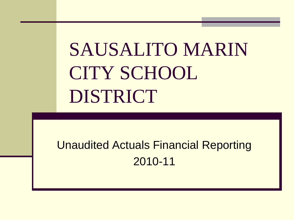# SAUSALITO MARIN CITY SCHOOL DISTRICT

### Unaudited Actuals Financial Reporting 2010-11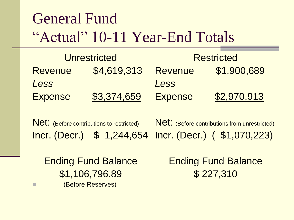### General Fund "Actual" 10-11 Year-End Totals

| <b>Unrestricted</b> |             | <b>Restricted</b> |             |  |
|---------------------|-------------|-------------------|-------------|--|
| <b>Revenue</b>      | \$4,619,313 | <b>Revenue</b>    | \$1,900,689 |  |
| Less                |             | Less              |             |  |
| <b>Expense</b>      | \$3,374,659 | <b>Expense</b>    | \$2,970,913 |  |

Net: (Before contributions to restricted) Incr. (Decr.) \$ 1,244,654 Incr. (Decr.) ( \$1,070,223) Net: (Before contributions from unrestricted)

Ending Fund Balance \$1,106,796.89 **Example 20 (Before Reserves)** 

Ending Fund Balance \$ 227,310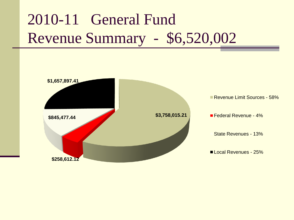## 2010-11 General Fund Revenue Summary - \$6,520,002

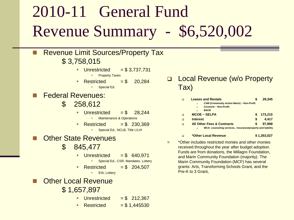## 2010-11 General Fund Revenue Summary - \$6,520,002

- Revenue Limit Sources/Property Tax \$ 3,758,015
	- Unrestricted  $= $3,737,731$ 
		- **Property Taxes**
	- Restricted  $= $ 20,284$ 
		- **Special Ed.**
- Federal Revenues:
	- \$ 258,612
		- Unrestricted  $= $$  28,244
			- Maintenance & Operations
		- Restricted  $= $230.369$ 
			- Special Ed., NCLB, Title I,II,III
- **Other State Revenues** 
	- \$ 845,477
		- Unrestricted  $= $640.971$ 
			- **Special Ed., CSR, Mandates, Lottery**
		- Restricted  $= $204,507$ 
			- **EIA, Lottery**
- **Other Local Revenue** 
	- \$ 1,657,897
		- Unrestricted  $= $212,367$
		- Restricted  $= $1,445530$

 Local Revenue (w/o Property Tax)

|   | <b>Leases and Rentals</b>                                            |   | 29.345  |
|---|----------------------------------------------------------------------|---|---------|
|   | <b>CAM (Community Action Marin) ~ Non-Profit</b><br>$\Box$           |   |         |
|   | Corstone ~ Non-Profit<br>$\Box$                                      |   |         |
|   | <b>BACR</b><br>$\Box$                                                |   |         |
| ◻ | $MCOE \sim SELPA$                                                    |   | 173,210 |
| ◻ | <b>Interest</b>                                                      | S | 4.417   |
| ◻ | <b>All Other Fees &amp; Contracts</b>                                | S | 97,898  |
|   | WCA: counseling services, insurance/property and liability<br>$\Box$ |   |         |

- **\*Other Local Revenue \$ 1,353,027**
- **THE** \*Other includes restricted monies and other monies received throughout the year after budget adoption. Funds are from donations, the Millagro Foundation, and Marin Community Foundation (majority). The Marin Community Foundation (MCF) has several grants: Arts, Transforming Schools Grant, and the Pre-K to 3 Grant,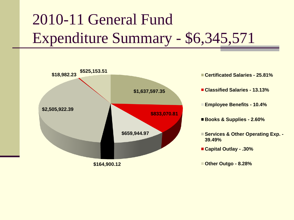## 2010-11 General Fund Expenditure Summary - \$6,345,571



**Classified Salaries - 13.13% Employee Benefits - 10.4%**

**Certificated Salaries - 25.81%**

**Books & Supplies - 2.60%**

**Services & Other Operating Exp. - 39.49%**

**Capital Outlay - .30%**

**Other Outgo - 8.28%**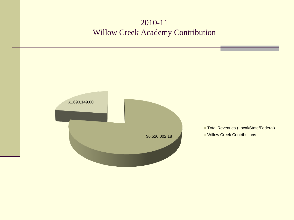#### 2010-11 Willow Creek Academy Contribution

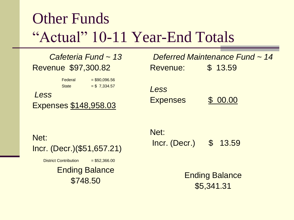### Other Funds "Actual" 10-11 Year-End Totals

### *Cafeteria Fund ~ 13* Revenue \$97,300.82

 $Federal = $90,096.56$ State  $= $ 7,334.57$ *Less* Expenses \$148,958.03

|                 | Deferred Maintenance Fund ~ 14 |  |
|-----------------|--------------------------------|--|
| Revenue:        | \$13.59                        |  |
|                 |                                |  |
|                 |                                |  |
| Less            |                                |  |
| <b>Expenses</b> | \$ 00.00                       |  |
|                 |                                |  |

Net: Incr. (Decr.)(\$51,657.21)

District Contribution  $= $52,366.00$ 

Ending Balance \$748.50

Net: Incr. (Decr.) \$ 13.59

> Ending Balance \$5,341.31